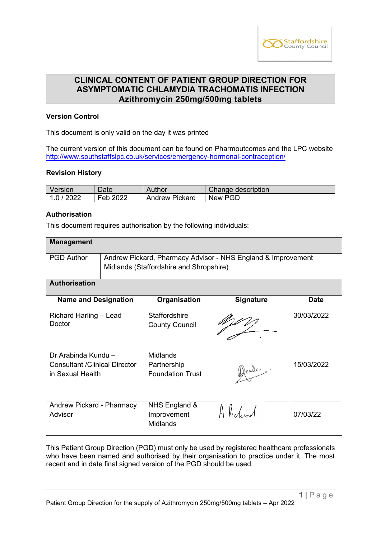

# **CLINICAL CONTENT OF PATIENT GROUP DIRECTION FOR ASYMPTOMATIC CHLAMYDIA TRACHOMATIS INFECTION Azithromycin 250mg/500mg tablets**

## **Version Control**

This document is only valid on the day it was printed

The current version of this document can be found on Pharmoutcomes and the LPC website <http://www.southstaffslpc.co.uk/services/emergency-hormonal-contraception/>

#### **Revision History**

| Version    | Date     | Author         | Change description |
|------------|----------|----------------|--------------------|
| 1.0 / 2022 | Feb 2022 | Andrew Pickard | New PGD            |

## **Authorisation**

This document requires authorisation by the following individuals:

| <b>Management</b>                                                                |                                                                                                         |                                                           |                  |             |
|----------------------------------------------------------------------------------|---------------------------------------------------------------------------------------------------------|-----------------------------------------------------------|------------------|-------------|
| <b>PGD Author</b>                                                                | Andrew Pickard, Pharmacy Advisor - NHS England & Improvement<br>Midlands (Staffordshire and Shropshire) |                                                           |                  |             |
| <b>Authorisation</b>                                                             |                                                                                                         |                                                           |                  |             |
| <b>Name and Designation</b>                                                      |                                                                                                         | Organisation                                              | <b>Signature</b> | <b>Date</b> |
| Richard Harling - Lead<br>Doctor                                                 |                                                                                                         | <b>Staffordshire</b><br><b>County Council</b>             |                  | 30/03/2022  |
| Dr Arabinda Kundu -<br><b>Consultant / Clinical Director</b><br>in Sexual Health |                                                                                                         | <b>Midlands</b><br>Partnership<br><b>Foundation Trust</b> | Dende.           | 15/03/2022  |
| Andrew Pickard - Pharmacy<br>Advisor                                             |                                                                                                         | NHS England &<br>Improvement<br><b>Midlands</b>           | Alidrad          | 07/03/22    |

This Patient Group Direction (PGD) must only be used by registered healthcare professionals who have been named and authorised by their organisation to practice under it. The most recent and in date final signed version of the PGD should be used.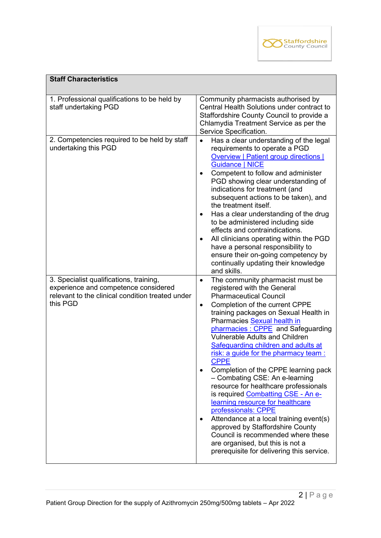

| <b>Staff Characteristics</b>                                                                                                                    |                                                                                                                                                                                                                                                                                                                                                                                                                                                                                                                                                                                                                                                                                                                                                                                                                                                  |
|-------------------------------------------------------------------------------------------------------------------------------------------------|--------------------------------------------------------------------------------------------------------------------------------------------------------------------------------------------------------------------------------------------------------------------------------------------------------------------------------------------------------------------------------------------------------------------------------------------------------------------------------------------------------------------------------------------------------------------------------------------------------------------------------------------------------------------------------------------------------------------------------------------------------------------------------------------------------------------------------------------------|
| 1. Professional qualifications to be held by<br>staff undertaking PGD                                                                           | Community pharmacists authorised by<br>Central Health Solutions under contract to<br>Staffordshire County Council to provide a<br>Chlamydia Treatment Service as per the<br>Service Specification.                                                                                                                                                                                                                                                                                                                                                                                                                                                                                                                                                                                                                                               |
| 2. Competencies required to be held by staff<br>undertaking this PGD                                                                            | Has a clear understanding of the legal<br>requirements to operate a PGD<br><b>Overview   Patient group directions  </b><br><b>Guidance   NICE</b><br>Competent to follow and administer<br>$\bullet$<br>PGD showing clear understanding of<br>indications for treatment (and<br>subsequent actions to be taken), and<br>the treatment itself.<br>Has a clear understanding of the drug<br>$\bullet$<br>to be administered including side<br>effects and contraindications.<br>All clinicians operating within the PGD<br>$\bullet$<br>have a personal responsibility to<br>ensure their on-going competency by<br>continually updating their knowledge<br>and skills.                                                                                                                                                                            |
| 3. Specialist qualifications, training,<br>experience and competence considered<br>relevant to the clinical condition treated under<br>this PGD | The community pharmacist must be<br>$\bullet$<br>registered with the General<br><b>Pharmaceutical Council</b><br>Completion of the current CPPE<br>$\bullet$<br>training packages on Sexual Health in<br>Pharmacies Sexual health in<br>pharmacies: CPPE and Safeguarding<br><b>Vulnerable Adults and Children</b><br>Safeguarding children and adults at<br>risk: a guide for the pharmacy team :<br><b>CPPE</b><br>Completion of the CPPE learning pack<br>- Combating CSE: An e-learning<br>resource for healthcare professionals<br>is required Combatting CSE - An e-<br>learning resource for healthcare<br>professionals: CPPE<br>Attendance at a local training event(s)<br>٠<br>approved by Staffordshire County<br>Council is recommended where these<br>are organised, but this is not a<br>prerequisite for delivering this service. |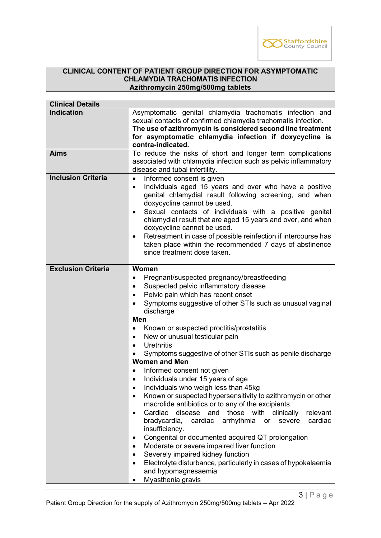

#### **CLINICAL CONTENT OF PATIENT GROUP DIRECTION FOR ASYMPTOMATIC CHLAMYDIA TRACHOMATIS INFECTION Azithromycin 250mg/500mg tablets**

| <b>Clinical Details</b>   |                                                                                                                                                                                                                                                                                                                                                                                                                                                                                                                                                                                                                                                                                                                                                                                                                                                                                                                                                                                                                                                                                                                             |
|---------------------------|-----------------------------------------------------------------------------------------------------------------------------------------------------------------------------------------------------------------------------------------------------------------------------------------------------------------------------------------------------------------------------------------------------------------------------------------------------------------------------------------------------------------------------------------------------------------------------------------------------------------------------------------------------------------------------------------------------------------------------------------------------------------------------------------------------------------------------------------------------------------------------------------------------------------------------------------------------------------------------------------------------------------------------------------------------------------------------------------------------------------------------|
| <b>Indication</b>         | Asymptomatic genital chlamydia trachomatis infection and<br>sexual contacts of confirmed chlamydia trachomatis infection.<br>The use of azithromycin is considered second line treatment<br>for asymptomatic chlamydia infection if doxycycline is<br>contra-indicated.                                                                                                                                                                                                                                                                                                                                                                                                                                                                                                                                                                                                                                                                                                                                                                                                                                                     |
| <b>Aims</b>               | To reduce the risks of short and longer term complications<br>associated with chlamydia infection such as pelvic inflammatory<br>disease and tubal infertility.                                                                                                                                                                                                                                                                                                                                                                                                                                                                                                                                                                                                                                                                                                                                                                                                                                                                                                                                                             |
| <b>Inclusion Criteria</b> | Informed consent is given<br>Individuals aged 15 years and over who have a positive<br>$\bullet$<br>genital chlamydial result following screening, and when<br>doxycycline cannot be used.<br>Sexual contacts of individuals with a positive genital<br>$\bullet$<br>chlamydial result that are aged 15 years and over, and when<br>doxycycline cannot be used.<br>Retreatment in case of possible reinfection if intercourse has<br>$\bullet$<br>taken place within the recommended 7 days of abstinence<br>since treatment dose taken.                                                                                                                                                                                                                                                                                                                                                                                                                                                                                                                                                                                    |
| <b>Exclusion Criteria</b> | <b>Women</b><br>Pregnant/suspected pregnancy/breastfeeding<br>Suspected pelvic inflammatory disease<br>$\bullet$<br>Pelvic pain which has recent onset<br>$\bullet$<br>Symptoms suggestive of other STIs such as unusual vaginal<br>discharge<br><b>Men</b><br>Known or suspected proctitis/prostatitis<br>New or unusual testicular pain<br>$\bullet$<br><b>Urethritis</b><br>Symptoms suggestive of other STIs such as penile discharge<br><b>Women and Men</b><br>Informed consent not given<br>Individuals under 15 years of age<br>$\bullet$<br>Individuals who weigh less than 45kg<br>Known or suspected hypersensitivity to azithromycin or other<br>$\bullet$<br>macrolide antibiotics or to any of the excipients.<br>disease and<br>those<br>with<br>Cardiac<br>clinically<br>relevant<br>$\bullet$<br>bradycardia,<br>arrhythmia<br>cardiac<br>cardiac<br>severe<br>or<br>insufficiency.<br>Congenital or documented acquired QT prolongation<br>Moderate or severe impaired liver function<br>$\bullet$<br>Severely impaired kidney function<br>Electrolyte disturbance, particularly in cases of hypokalaemia |
|                           | and hypomagnesaemia<br>Myasthenia gravis                                                                                                                                                                                                                                                                                                                                                                                                                                                                                                                                                                                                                                                                                                                                                                                                                                                                                                                                                                                                                                                                                    |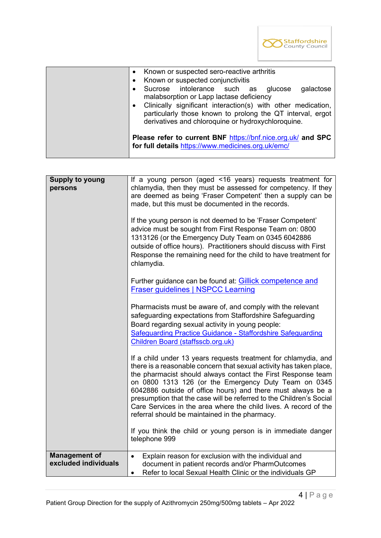

| $\bullet$ | Known or suspected conjunctivitis<br>Sucrose intolerance such as glucose<br>galactose<br>malabsorption or Lapp lactase deficiency<br>Clinically significant interaction(s) with other medication,                                      |
|-----------|----------------------------------------------------------------------------------------------------------------------------------------------------------------------------------------------------------------------------------------|
|           | particularly those known to prolong the QT interval, ergot<br>derivatives and chloroquine or hydroxychloroquine.<br>Please refer to current BNF https://bnf.nice.org.uk/ and SPC<br>for full details https://www.medicines.org.uk/emc/ |

| persons                                                   | chlamydia, then they must be assessed for competency. If they<br>are deemed as being 'Fraser Competent' then a supply can be<br>made, but this must be documented in the records.<br>If the young person is not deemed to be 'Fraser Competent'<br>advice must be sought from First Response Team on: 0800<br>1313126 (or the Emergency Duty Team on 0345 6042886<br>outside of office hours). Practitioners should discuss with First<br>Response the remaining need for the child to have treatment for<br>chlamydia.<br>Further guidance can be found at: Gillick competence and<br><b>Fraser guidelines   NSPCC Learning</b><br>Pharmacists must be aware of, and comply with the relevant<br>safeguarding expectations from Staffordshire Safeguarding<br>Board regarding sexual activity in young people:<br>Safeguarding Practice Guidance - Staffordshire Safeguarding<br>Children Board (staffsscb.org.uk)<br>If a child under 13 years requests treatment for chlamydia, and<br>there is a reasonable concern that sexual activity has taken place, |
|-----------------------------------------------------------|---------------------------------------------------------------------------------------------------------------------------------------------------------------------------------------------------------------------------------------------------------------------------------------------------------------------------------------------------------------------------------------------------------------------------------------------------------------------------------------------------------------------------------------------------------------------------------------------------------------------------------------------------------------------------------------------------------------------------------------------------------------------------------------------------------------------------------------------------------------------------------------------------------------------------------------------------------------------------------------------------------------------------------------------------------------|
|                                                           | the pharmacist should always contact the First Response team<br>on 0800 1313 126 (or the Emergency Duty Team on 0345<br>6042886 outside of office hours) and there must always be a<br>presumption that the case will be referred to the Children's Social<br>Care Services in the area where the child lives. A record of the<br>referral should be maintained in the pharmacy.<br>If you think the child or young person is in immediate danger<br>telephone 999                                                                                                                                                                                                                                                                                                                                                                                                                                                                                                                                                                                            |
| <b>Management of</b><br>$\bullet$<br>excluded individuals | Explain reason for exclusion with the individual and<br>document in patient records and/or PharmOutcomes<br>Refer to local Sexual Health Clinic or the individuals GP                                                                                                                                                                                                                                                                                                                                                                                                                                                                                                                                                                                                                                                                                                                                                                                                                                                                                         |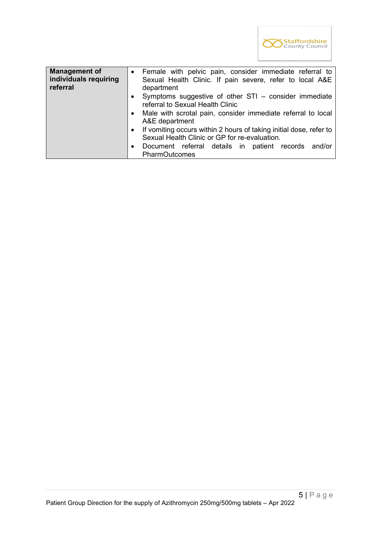

| <b>Management of</b><br>individuals requiring<br>referral | Female with pelvic pain, consider immediate referral to<br>$\bullet$<br>Sexual Health Clinic. If pain severe, refer to local A&E<br>department |  |  |
|-----------------------------------------------------------|------------------------------------------------------------------------------------------------------------------------------------------------|--|--|
|                                                           | Symptoms suggestive of other STI - consider immediate<br>$\bullet$<br>referral to Sexual Health Clinic                                         |  |  |
|                                                           | Male with scrotal pain, consider immediate referral to local<br>$\bullet$<br>A&E department                                                    |  |  |
|                                                           | If vomiting occurs within 2 hours of taking initial dose, refer to<br>$\bullet$<br>Sexual Health Clinic or GP for re-evaluation.               |  |  |
|                                                           | Document referral details in patient records<br>and/or<br>$\bullet$<br><b>PharmOutcomes</b>                                                    |  |  |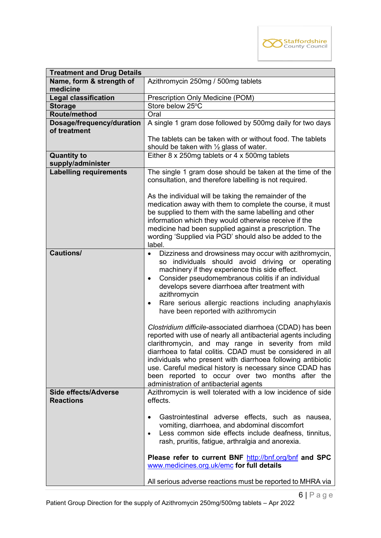

| <b>Treatment and Drug Details</b>               |                                                                                                                                                                                                                                                                                                                                                                                                                                                                                                                                                                                                                                                                                                                                                                                                                                                                                                        |  |
|-------------------------------------------------|--------------------------------------------------------------------------------------------------------------------------------------------------------------------------------------------------------------------------------------------------------------------------------------------------------------------------------------------------------------------------------------------------------------------------------------------------------------------------------------------------------------------------------------------------------------------------------------------------------------------------------------------------------------------------------------------------------------------------------------------------------------------------------------------------------------------------------------------------------------------------------------------------------|--|
| Name, form & strength of                        | Azithromycin 250mg / 500mg tablets                                                                                                                                                                                                                                                                                                                                                                                                                                                                                                                                                                                                                                                                                                                                                                                                                                                                     |  |
| medicine                                        |                                                                                                                                                                                                                                                                                                                                                                                                                                                                                                                                                                                                                                                                                                                                                                                                                                                                                                        |  |
| <b>Legal classification</b>                     | Prescription Only Medicine (POM)                                                                                                                                                                                                                                                                                                                                                                                                                                                                                                                                                                                                                                                                                                                                                                                                                                                                       |  |
| <b>Storage</b>                                  | Store below 25°C                                                                                                                                                                                                                                                                                                                                                                                                                                                                                                                                                                                                                                                                                                                                                                                                                                                                                       |  |
| Route/method                                    | Oral                                                                                                                                                                                                                                                                                                                                                                                                                                                                                                                                                                                                                                                                                                                                                                                                                                                                                                   |  |
| Dosage/frequency/duration<br>of treatment       | A single 1 gram dose followed by 500mg daily for two days                                                                                                                                                                                                                                                                                                                                                                                                                                                                                                                                                                                                                                                                                                                                                                                                                                              |  |
|                                                 | The tablets can be taken with or without food. The tablets<br>should be taken with $\frac{1}{2}$ glass of water.                                                                                                                                                                                                                                                                                                                                                                                                                                                                                                                                                                                                                                                                                                                                                                                       |  |
| <b>Quantity to</b>                              | Either 8 x 250mg tablets or 4 x 500mg tablets                                                                                                                                                                                                                                                                                                                                                                                                                                                                                                                                                                                                                                                                                                                                                                                                                                                          |  |
| supply/administer                               |                                                                                                                                                                                                                                                                                                                                                                                                                                                                                                                                                                                                                                                                                                                                                                                                                                                                                                        |  |
| <b>Labelling requirements</b>                   | The single 1 gram dose should be taken at the time of the<br>consultation, and therefore labelling is not required.                                                                                                                                                                                                                                                                                                                                                                                                                                                                                                                                                                                                                                                                                                                                                                                    |  |
|                                                 | As the individual will be taking the remainder of the<br>medication away with them to complete the course, it must<br>be supplied to them with the same labelling and other<br>information which they would otherwise receive if the<br>medicine had been supplied against a prescription. The<br>wording 'Supplied via PGD' should also be added to the<br>label.                                                                                                                                                                                                                                                                                                                                                                                                                                                                                                                                     |  |
| Cautions/                                       | Dizziness and drowsiness may occur with azithromycin,<br>individuals should avoid driving or operating<br><b>SO</b><br>machinery if they experience this side effect.<br>Consider pseudomembranous colitis if an individual<br>$\bullet$<br>develops severe diarrhoea after treatment with<br>azithromycin<br>Rare serious allergic reactions including anaphylaxis<br>$\bullet$<br>have been reported with azithromycin<br>Clostridium difficile-associated diarrhoea (CDAD) has been<br>reported with use of nearly all antibacterial agents including<br>clarithromycin, and may range in severity from mild<br>diarrhoea to fatal colitis. CDAD must be considered in all<br>individuals who present with diarrhoea following antibiotic<br>use. Careful medical history is necessary since CDAD has<br>been reported to occur over two months after the<br>administration of antibacterial agents |  |
| <b>Side effects/Adverse</b><br><b>Reactions</b> | Azithromycin is well tolerated with a low incidence of side<br>effects.<br>Gastrointestinal adverse effects, such as nausea,<br>vomiting, diarrhoea, and abdominal discomfort<br>Less common side effects include deafness, tinnitus,<br>rash, pruritis, fatigue, arthralgia and anorexia.<br>Please refer to current BNF http://bnf.org/bnf and SPC<br>www.medicines.org.uk/emc for full details                                                                                                                                                                                                                                                                                                                                                                                                                                                                                                      |  |
|                                                 | All serious adverse reactions must be reported to MHRA via                                                                                                                                                                                                                                                                                                                                                                                                                                                                                                                                                                                                                                                                                                                                                                                                                                             |  |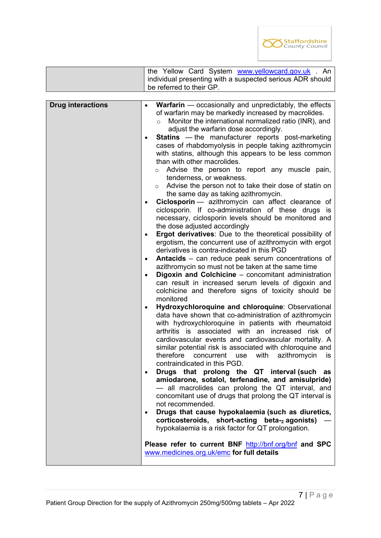

|                          | the Yellow Card System www.yellowcard.gov.uk . An                                                                                                                                                                                                                                                                                                                                                                                                                                                                                                                                                                                                                                                                                                                                                                                                                                                                                                                                                                                                                                                                                                                                                                                                                                                                                                                                                                                                                                                                                                                                                                                                                                                                                                                                                                                                                                                                                                                                                                                                                                                                                                                                                                                                                                                                                                                                    |
|--------------------------|--------------------------------------------------------------------------------------------------------------------------------------------------------------------------------------------------------------------------------------------------------------------------------------------------------------------------------------------------------------------------------------------------------------------------------------------------------------------------------------------------------------------------------------------------------------------------------------------------------------------------------------------------------------------------------------------------------------------------------------------------------------------------------------------------------------------------------------------------------------------------------------------------------------------------------------------------------------------------------------------------------------------------------------------------------------------------------------------------------------------------------------------------------------------------------------------------------------------------------------------------------------------------------------------------------------------------------------------------------------------------------------------------------------------------------------------------------------------------------------------------------------------------------------------------------------------------------------------------------------------------------------------------------------------------------------------------------------------------------------------------------------------------------------------------------------------------------------------------------------------------------------------------------------------------------------------------------------------------------------------------------------------------------------------------------------------------------------------------------------------------------------------------------------------------------------------------------------------------------------------------------------------------------------------------------------------------------------------------------------------------------------|
|                          | individual presenting with a suspected serious ADR should<br>be referred to their GP.                                                                                                                                                                                                                                                                                                                                                                                                                                                                                                                                                                                                                                                                                                                                                                                                                                                                                                                                                                                                                                                                                                                                                                                                                                                                                                                                                                                                                                                                                                                                                                                                                                                                                                                                                                                                                                                                                                                                                                                                                                                                                                                                                                                                                                                                                                |
|                          |                                                                                                                                                                                                                                                                                                                                                                                                                                                                                                                                                                                                                                                                                                                                                                                                                                                                                                                                                                                                                                                                                                                                                                                                                                                                                                                                                                                                                                                                                                                                                                                                                                                                                                                                                                                                                                                                                                                                                                                                                                                                                                                                                                                                                                                                                                                                                                                      |
| <b>Drug interactions</b> | <b>Warfarin</b> $-$ occasionally and unpredictably, the effects<br>of warfarin may be markedly increased by macrolides.<br>Monitor the international normalized ratio (INR), and<br>$\circ$<br>adjust the warfarin dose accordingly.<br><b>Statins</b> — the manufacturer reports post-marketing<br>$\bullet$<br>cases of rhabdomyolysis in people taking azithromycin<br>with statins, although this appears to be less common<br>than with other macrolides.<br>Advise the person to report any muscle pain,<br>$\circ$<br>tenderness, or weakness.<br>Advise the person not to take their dose of statin on<br>$\circ$<br>the same day as taking azithromycin.<br>Ciclosporin - azithromycin can affect clearance of<br>ciclosporin. If co-administration of these drugs is<br>necessary, ciclosporin levels should be monitored and<br>the dose adjusted accordingly<br>Ergot derivatives: Due to the theoretical possibility of<br>$\bullet$<br>ergotism, the concurrent use of azithromycin with ergot<br>derivatives is contra-indicated in this PGD<br>Antacids - can reduce peak serum concentrations of<br>$\bullet$<br>azithromycin so must not be taken at the same time<br>Digoxin and Colchicine - concomitant administration<br>$\bullet$<br>can result in increased serum levels of digoxin and<br>colchicine and therefore signs of toxicity should be<br>monitored<br>Hydroxychloroquine and chloroquine: Observational<br>$\bullet$<br>data have shown that co-administration of azithromycin<br>with hydroxychloroquine in patients with rheumatoid<br>arthritis is associated with an increased<br>risk of<br>cardiovascular events and cardiovascular mortality. A<br>similar potential risk is associated with chloroquine and<br>therefore<br>azithromycin<br>concurrent<br>with<br>use<br>IS.<br>contraindicated in this PGD.<br>Drugs that prolong the QT interval (such<br>as<br>amiodarone, sotalol, terfenadine, and amisulpride)<br>- all macrolides can prolong the QT interval, and<br>concomitant use of drugs that prolong the QT interval is<br>not recommended.<br>Drugs that cause hypokalaemia (such as diuretics,<br>$\bullet$<br>corticosteroids, short-acting beta-2 agonists)<br>hypokalaemia is a risk factor for QT prolongation.<br>Please refer to current BNF http://bnf.org/bnf and SPC<br>www.medicines.org.uk/emc for full details |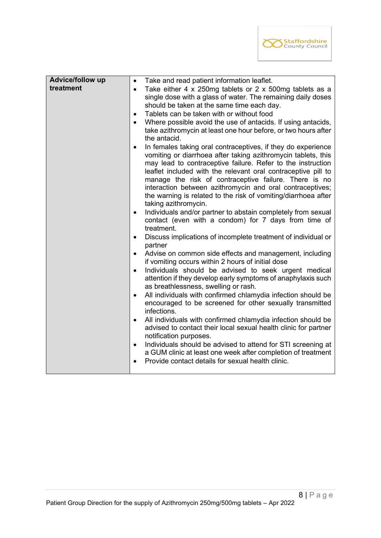

| Advice/follow up | Take and read patient information leaflet.<br>$\bullet$                                                                                      |
|------------------|----------------------------------------------------------------------------------------------------------------------------------------------|
| treatment        | Take either 4 x 250mg tablets or 2 x 500mg tablets as a<br>$\bullet$                                                                         |
|                  | single dose with a glass of water. The remaining daily doses                                                                                 |
|                  | should be taken at the same time each day.                                                                                                   |
|                  | Tablets can be taken with or without food<br>$\bullet$                                                                                       |
|                  | Where possible avoid the use of antacids. If using antacids,<br>$\bullet$                                                                    |
|                  | take azithromycin at least one hour before, or two hours after<br>the antacid.                                                               |
|                  | In females taking oral contraceptives, if they do experience<br>$\bullet$                                                                    |
|                  | vomiting or diarrhoea after taking azithromycin tablets, this                                                                                |
|                  | may lead to contraceptive failure. Refer to the instruction                                                                                  |
|                  | leaflet included with the relevant oral contraceptive pill to                                                                                |
|                  | manage the risk of contraceptive failure. There is no                                                                                        |
|                  | interaction between azithromycin and oral contraceptives;<br>the warning is related to the risk of vomiting/diarrhoea after                  |
|                  | taking azithromycin.                                                                                                                         |
|                  | Individuals and/or partner to abstain completely from sexual<br>$\bullet$                                                                    |
|                  | contact (even with a condom) for 7 days from time of                                                                                         |
|                  | treatment.                                                                                                                                   |
|                  | Discuss implications of incomplete treatment of individual or<br>$\bullet$                                                                   |
|                  | partner                                                                                                                                      |
|                  | Advise on common side effects and management, including<br>٠                                                                                 |
|                  | if vomiting occurs within 2 hours of initial dose                                                                                            |
|                  | Individuals should be advised to seek urgent medical<br>$\bullet$                                                                            |
|                  | attention if they develop early symptoms of anaphylaxis such                                                                                 |
|                  | as breathlessness, swelling or rash.                                                                                                         |
|                  | All individuals with confirmed chlamydia infection should be<br>$\bullet$                                                                    |
|                  | encouraged to be screened for other sexually transmitted<br>infections.                                                                      |
|                  |                                                                                                                                              |
|                  | All individuals with confirmed chlamydia infection should be<br>$\bullet$<br>advised to contact their local sexual health clinic for partner |
|                  | notification purposes.                                                                                                                       |
|                  | Individuals should be advised to attend for STI screening at<br>$\bullet$                                                                    |
|                  | a GUM clinic at least one week after completion of treatment                                                                                 |
|                  | Provide contact details for sexual health clinic.                                                                                            |
|                  |                                                                                                                                              |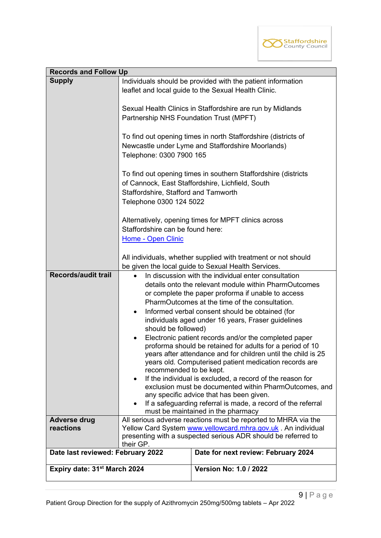

| <b>Records and Follow Up</b>             |                                                                                                                                                                                                                                                                                                                                                                                                                                                                                                                                                                                                                                                                                                                                                                                                                                                                                                                                      |                                                                                                                               |  |
|------------------------------------------|--------------------------------------------------------------------------------------------------------------------------------------------------------------------------------------------------------------------------------------------------------------------------------------------------------------------------------------------------------------------------------------------------------------------------------------------------------------------------------------------------------------------------------------------------------------------------------------------------------------------------------------------------------------------------------------------------------------------------------------------------------------------------------------------------------------------------------------------------------------------------------------------------------------------------------------|-------------------------------------------------------------------------------------------------------------------------------|--|
| <b>Supply</b>                            |                                                                                                                                                                                                                                                                                                                                                                                                                                                                                                                                                                                                                                                                                                                                                                                                                                                                                                                                      | Individuals should be provided with the patient information<br>leaflet and local guide to the Sexual Health Clinic.           |  |
|                                          | Partnership NHS Foundation Trust (MPFT)                                                                                                                                                                                                                                                                                                                                                                                                                                                                                                                                                                                                                                                                                                                                                                                                                                                                                              | Sexual Health Clinics in Staffordshire are run by Midlands                                                                    |  |
|                                          | Telephone: 0300 7900 165                                                                                                                                                                                                                                                                                                                                                                                                                                                                                                                                                                                                                                                                                                                                                                                                                                                                                                             | To find out opening times in north Staffordshire (districts of<br>Newcastle under Lyme and Staffordshire Moorlands)           |  |
|                                          | Staffordshire, Stafford and Tamworth<br>Telephone 0300 124 5022                                                                                                                                                                                                                                                                                                                                                                                                                                                                                                                                                                                                                                                                                                                                                                                                                                                                      | To find out opening times in southern Staffordshire (districts<br>of Cannock, East Staffordshire, Lichfield, South            |  |
|                                          | Staffordshire can be found here:<br>Home - Open Clinic                                                                                                                                                                                                                                                                                                                                                                                                                                                                                                                                                                                                                                                                                                                                                                                                                                                                               | Alternatively, opening times for MPFT clinics across                                                                          |  |
|                                          |                                                                                                                                                                                                                                                                                                                                                                                                                                                                                                                                                                                                                                                                                                                                                                                                                                                                                                                                      | All individuals, whether supplied with treatment or not should<br>be given the local guide to Sexual Health Services.         |  |
| <b>Records/audit trail</b>               | In discussion with the individual enter consultation<br>details onto the relevant module within PharmOutcomes<br>or complete the paper proforma if unable to access<br>PharmOutcomes at the time of the consultation.<br>Informed verbal consent should be obtained (for<br>$\bullet$<br>individuals aged under 16 years, Fraser guidelines<br>should be followed)<br>Electronic patient records and/or the completed paper<br>$\bullet$<br>proforma should be retained for adults for a period of 10<br>years after attendance and for children until the child is 25<br>years old. Computerised patient medication records are<br>recommended to be kept.<br>If the individual is excluded, a record of the reason for<br>exclusion must be documented within PharmOutcomes, and<br>any specific advice that has been given.<br>If a safeguarding referral is made, a record of the referral<br>must be maintained in the pharmacy |                                                                                                                               |  |
| <b>Adverse drug</b>                      |                                                                                                                                                                                                                                                                                                                                                                                                                                                                                                                                                                                                                                                                                                                                                                                                                                                                                                                                      | All serious adverse reactions must be reported to MHRA via the                                                                |  |
| reactions                                | their GP.                                                                                                                                                                                                                                                                                                                                                                                                                                                                                                                                                                                                                                                                                                                                                                                                                                                                                                                            | Yellow Card System www.yellowcard.mhra.gov.uk. An individual<br>presenting with a suspected serious ADR should be referred to |  |
| Date last reviewed: February 2022        |                                                                                                                                                                                                                                                                                                                                                                                                                                                                                                                                                                                                                                                                                                                                                                                                                                                                                                                                      | Date for next review: February 2024                                                                                           |  |
| Expiry date: 31 <sup>st</sup> March 2024 |                                                                                                                                                                                                                                                                                                                                                                                                                                                                                                                                                                                                                                                                                                                                                                                                                                                                                                                                      | <b>Version No: 1.0 / 2022</b>                                                                                                 |  |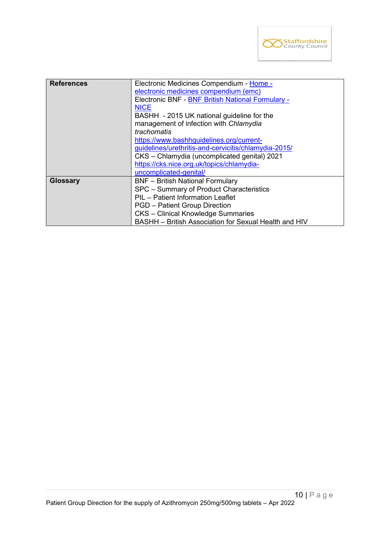

| <b>References</b> | Electronic Medicines Compendium - Home -<br>electronic medicines compendium (emc)<br>Electronic BNF - BNF British National Formulary -<br><b>NICE</b><br>BASHH - 2015 UK national guideline for the<br>management of infection with Chlamydia<br>trachomatis<br>https://www.bashhquidelines.org/current-<br>guidelines/urethritis-and-cervicitis/chlamydia-2015/<br>CKS - Chlamydia (uncomplicated genital) 2021<br>https://cks.nice.org.uk/topics/chlamydia- |
|-------------------|---------------------------------------------------------------------------------------------------------------------------------------------------------------------------------------------------------------------------------------------------------------------------------------------------------------------------------------------------------------------------------------------------------------------------------------------------------------|
| <b>Glossary</b>   | uncomplicated-genital/<br><b>BNF</b> - British National Formulary<br>SPC - Summary of Product Characteristics<br>PIL - Patient Information Leaflet<br><b>PGD</b> – Patient Group Direction<br><b>CKS</b> - Clinical Knowledge Summaries<br>BASHH - British Association for Sexual Health and HIV                                                                                                                                                              |